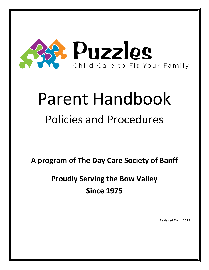

# Parent Handbook Policies and Procedures

**A program of The Day Care Society of Banff**

**Proudly Serving the Bow Valley Since 1975**

Reviewed March 2019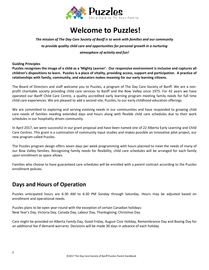

# **Welcome to Puzzles!**

### *The mission of The Day Care Society of Banff is to work with families and our community to provide quality child care and opportunities for personal growth in a nurturing atmosphere of activity and fun!*

**Guiding Principles**

**Puzzles recognizes the image of a child as a 'Mighty Learner'. Our responsive environment is inclusive and captures all children's dispositions to learn. Puzzles is a place of vitality, providing access, support and participation. A practice of relationships with family, community, and educators makes meaning for our early learning citizens.**

The Board of Directors and staff welcome you to Puzzles, a program of The Day Care Society of Banff. We are a nonprofit charitable society providing child care services to Banff and the Bow Valley since 1975. For 42 years we have operated our Banff Child Care Centre, a quality accredited early learning program meeting family needs for full time child care experiences. We are pleased to add a second site, Puzzles, to our early childhood education offerings.

We are committed to exploring and serving evolving needs in our communities and have responded to growing child care needs of families needing extended days and hours along with flexible child care schedules due to their work schedules in our hospitality driven community.

In April 2017, we were successful in our grant proposal and have been named one of 22 Alberta Early Learning and Child Care Centres. This grant is a culmination of community input studies and makes possible an innovative pilot project, our new program called Puzzles.

The Puzzles program design offers seven days per week programming with hours planned to meet the needs of many of our Bow Valley families. Recognizing family needs for flexibility, child care schedules will be arranged for each family upon enrollment as space allows.

Families who choose to have guaranteed care schedules will be enrolled with a parent contract according to the Puzzles enrollment policies.

# **Days and Hours of Operation**

Puzzles anticipated hours are 6:30 AM to 6:30 PM Sunday through Saturday. Hours may be adjusted based on enrollment and operational needs.

Puzzles plans to be open year-round with the exception of certain Canadian holidays: New Year's Day, Victoria Day, Canada Day, Labour Day, Thanksgiving, Christmas Day.

Care might be provided on Alberta Family Day, Good Friday, August Civic Holiday, Remembrance Day and Boxing Day for an additional fee if demand warrants. Decisions will be made 30 days in advance of each holiday.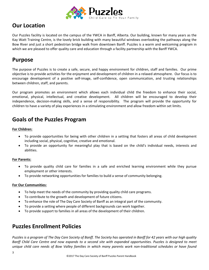

# **Our Location**

Our Puzzles facility is located on the campus of the YWCA in Banff, Alberta. Our building, known for many years as the Kay Watt Training Centre, is the lovely brick building with many beautiful windows overlooking the pathways along the Bow River and just a short pedestrian bridge walk from downtown Banff. Puzzles is a warm and welcoming program in which we are pleased to offer quality care and education through a facility partnership with the Banff YWCA.

### **Purpose**

The purpose of Puzzles is to create a safe, secure, and happy environment for children, staff and families. Our prime objective is to provide activities for the enjoyment and development of children in a relaxed atmosphere. Our focus is to encourage development of a positive self-image, self-confidence, open communication, and trusting relationships between children, staff, and parents.

Our program promotes an environment which allows each individual child the freedom to enhance their social, emotional, physical, intellectual, and creative development. All children will be encouraged to develop their independence, decision-making skills, and a sense of responsibility. The program will provide the opportunity for children to have a variety of play experiences in a stimulating environment and allow freedom within set limits.

# **Goals of the Puzzles Program**

**For Children:**

- To provide opportunities for being with other children in a setting that fosters all areas of child development including social, physical, cognitive, creative and emotional.
- To provide an opportunity for meaningful play that is based on the child's individual needs, interests and abilities.

### **For Parents:**

- To provide quality child care for families in a safe and enriched learning environment while they pursue employment or other interests.
- To provide networking opportunities for families to build a sense of community belonging.

### **For Our Communities:**

- To help meet the needs of the community by providing quality child care programs.
- To contribute to the growth and development of future citizens.
- To enhance the role of The Day Care Society of Banff as an integral part of the community.
- To provide a setting where people of different backgrounds can work together.
- To provide support to families in all areas of the development of their children.

# **Puzzles Enrollment Policies**

*Puzzles is a program of The Day Care Society of Banff. The Society has operated in Banff for 42 years with our high quality Banff Child Care Centre and now expands to a second site with expanded opportunities. Puzzles is designed to meet unique child care needs of Bow Valley families in which many parents work non-traditional schedules or have found*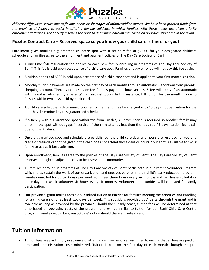

*childcare difficult to secure due to flexible needs or shortages of infant/toddler spaces. We have been granted funds from the province of Alberta to assist in offering flexible childcare in which families with these needs are given priority enrollment at Puzzles. The Society reserves the right to determine enrollments based on priorities stipulated in the grant.*

### **Puzzles Contract Care – Reserved space so you know your child care is there for you!**

Enrollment gives families a guaranteed childcare spot with a set daily fee of \$25.00 for your designated childcare schedule and families agree to the enrollment and payment policies of The Day Care Society of Banff.

- A one-time \$50 registration fee applies to each new family enrolling in programs of The Day Care Society of Banff. This fee is paid upon acceptance of a child care spot. Families already enrolled will not pay this fee again.
- A tuition deposit of \$200 is paid upon acceptance of a child care spot and is applied to your first month's tuition.
- Monthly tuition payments are made on the first day of each month through automatic withdrawal from parents' chequing account. There is not a service fee for this payment, however a \$15 fee will apply if an automatic withdrawal is returned by a parents' banking institution. In this instance, full tuition for the month is due to Puzzles within two days, paid by debit card.
- A child care schedule is determined upon enrollment and may be changed with 15 days' notice. Tuition for the month is determined by this guaranteed schedule.
- If a family with a guaranteed spot withdraws from Puzzles, 45 days' notice is required so another family may enroll in the spot without gaps in service. If the child attends less than the required 45 days, tuition fee is still due for the 45 days.
- Once a guaranteed spot and schedule are established, the child care days and hours are reserved for you and credit or refunds cannot be given if the child does not attend those days or hours. Your spot is available for your family to use as it best suits you.
- Upon enrollment, families agree to the policies of The Day Care Society of Banff. The Day Care Society of Banff reserves the right to adjust policies to best serve our community.
- All families enrolled in programs of The Day Care Society of Banff participate in our Parent Volunteer Program which helps sustain the work of our organization and engages parents in their child's early education program. Families enrolled for up to 3 days per week volunteer three hours every six months and families enrolled 4 or more days per week volunteer six hours every six months. Volunteer opportunities will be posted for family participation.
- Our provincial grant makes possible subsidized tuition at Puzzles for families meeting the priorities and enrolling for a child care slot of at least two days per week. This subsidy is provided by Alberta through the grant and is available as long as provided by the province. Should the subsidy cease, tuition fees will be determined at that time based on operating costs of the program and will be similar to tuition for our Banff Child Care Centre program. Families would be given 30 days' notice should the grant subsidy end.

### **Tuition Information**

• Tuition fees are paid in full**,** in advance of attendance. Payment is streamlined to ensure that all fees are paid on time and administration costs minimized. Tuition is paid on the first day of each month through the pre-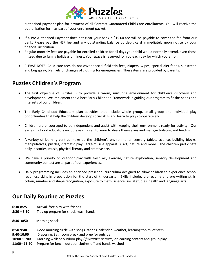

authorized payment plan for payment of all Contract Guaranteed Child Care enrollments. You will receive the authorization form as part of your enrollment packet.

- If a Pre-Authorized Payment does not clear your bank a \$15.00 fee will be payable to cover the fee from our bank. Please pay the NSF fee and any outstanding balance by debit card immediately upon notice by your financial institution.
- Regular monthly fees are payable for enrolled children for all days your child would normally attend, even those missed due to family holidays or illness. Your space is reserved for you each day for which you enroll.
- PLEASE NOTE: Child care fees do not cover special field trip fees, diapers, wipes, special diet foods, sunscreen and bug spray, blankets or changes of clothing for emergencies. These items are provided by parents.

# **Puzzles Children's Program**

- The first objective of Puzzles is to provide a warm, nurturing environment for children's discovery and development. We implement the Albert Early Childhood Framework in guiding our program to fit the needs and interests of our children.
- The Early Childhood Educators plan activities that include whole group, small group and individual play opportunities that help the children develop social skills and learn to play co-operatively.
- Children are encouraged to be independent and assist with keeping their environment ready for activity. Our early childhood educators encourage children to learn to dress themselves and manage toileting and feeding.
- A variety of learning centres make up the children's environment: sensory tables, science, building blocks, manipulatives, puzzles, dramatic play, large-muscle apparatus, art, nature and more. The children participate daily in stories, music, physical literacy and creative arts.
- We have a priority on outdoor play with fresh air, exercise, nature exploration, sensory development and community contact are all part of our experiences.
- Daily programming includes an enriched preschool curriculum designed to allow children to experience school readiness skills in preparation for the start of kindergarten. Skills include: pre-reading and pre-writing skills, colour, number and shape recognition, exposure to math, science, social studies, health and language arts.

### **Our Daily Routine at Puzzles**

- **6:30-8:25** Arrival, free play with friends
- **8:20 – 8:30** Tidy up prepare for snack, wash hands
- **8:30- 8:50** Morning snack

| Good morning circle with songs, stories, calendar, weather, learning topics, centers                                                                                  |  |  |
|-----------------------------------------------------------------------------------------------------------------------------------------------------------------------|--|--|
| Diapering/Bathroom break and prep for outside                                                                                                                         |  |  |
| Morning walk or outdoor play <i>(if weather permits)</i> or learning centers and group play<br>Prepare for lunch, outdoor clothes off and hands washed<br>11:00-11:20 |  |  |
|                                                                                                                                                                       |  |  |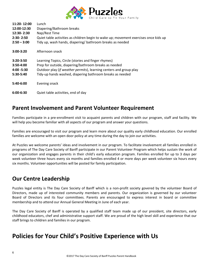

| 11:20-12:00<br>12:00-12:30<br>12:30-2:30<br>$2:30 - 2:50$<br>$2:50 - 3:00$ | Lunch<br>Diapering/Bathroom breaks<br>Nap/Rest Time<br>Quiet table activities as children begin to wake up; movement exercises once kids up<br>Tidy up, wash hands, diapering/ bathroom breaks as needed                                        |
|----------------------------------------------------------------------------|-------------------------------------------------------------------------------------------------------------------------------------------------------------------------------------------------------------------------------------------------|
| $3:00-3:20$                                                                | Afternoon snack                                                                                                                                                                                                                                 |
| $3:20 - 3:50$<br>$3:50-4:00$<br>$4:00 - 5:30$<br>5:30-5:40                 | Learning Topics, Circle (stories and finger rhymes)<br>Prep for outside, diapering/bathroom breaks as needed<br>Outdoor play (if weather permits), learning centers and group play<br>Tidy-up hands washed, diapering bathroom breaks as needed |
| $5:40-6:00$                                                                | Evening snack                                                                                                                                                                                                                                   |
| $6:00 - 6:30$                                                              | Quiet table activities, end of day                                                                                                                                                                                                              |

### **Parent Involvement and Parent Volunteer Requirement**

Families participate in a pre-enrollment visit to acquaint parents and children with our program, staff and facility. We will help you become familiar with all aspects of our program and answer your questions.

Families are encouraged to visit our program and learn more about our quality early childhood education. Our enrolled families are welcome with an open door policy at any time during the day to join our activities.

At Puzzles we welcome parents' ideas and involvement in our program. To facilitate involvement all families enrolled in programs of The Day Care Society of Banff participate in our Parent Volunteer Program which helps sustain the work of our organization and engages parents in their child's early education program. Families enrolled for up to 3 days per week volunteer three hours every six months and families enrolled 4 or more days per week volunteer six hours every six months. Volunteer opportunities will be posted for family participation.

### **Our Centre Leadership**

Puzzles legal entity is The Day Care Society of Banff which is a non-profit society govered by the volunteer Board of Directors, made up of interested community members and parents. Our organization is governed by our volunteer Board of Directors and its four committees. Parents are encouraged to express interest in board or committee membership and to attend our Annual General Meeting in June of each year.

The Day Care Society of Banff is operated by a qualified staff team made up of our president, site directors, early childhood educators, chef and administrative support staff. We are proud of the high level skill and experience that our staff brings to children and families in our program.

# **Policies for Your Child's Positive Experience with Us**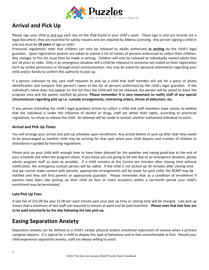

# **Arrival and Pick Up**

Please sign your child in and out each day on the iPad found in your child's room. These sign in and out records are a legal document, they are essential for safety reasons and are required by Alberta Licensing. Any person signing a child in and out must be **18 years** of age or older.

Provincial regulations state that children can only be released to adults authorized **in writing** by the child's legal guardian. Upon registration parents are asked to submit a list of names of persons authorized to collect their children. Any changes to this list must then be made in writing. Children will only be released to individually named adults that are 18 years or older. Only in an emergency situation will a child be released to someone not stated on their registration form by verbal permission or through email communication. You may be asked for personal information regarding your child and/or family to confirm this authority to pick up.

If a person unknown to day care staff requests to pick up a child that staff member will ask for a piece of photo identification and compare that person's name to the list of persons authorized by the child's legal guardian. If the individual's name does not appear on this list then the child will not be released, the person will be asked to leave the program area and the parent notified by phone. **Please remember it is very important to notify staff of any special circumstances regarding pick up i.e. custody arrangements, restraining orders, threat of abduction, etc.**

If any person (including the child's legal guardian) arrives to collect a child and staff members have reason to believe that the individual is under the influence of alcohol or drugs, staff are within their rights, according to provincial regulations, to refuse to release the child. An attempt will be made to contact another authorized individual to assist.

#### **Arrival and Pick Up Times**

You will arrange your arrival and pick-up schedule upon enrollment. Any arrival before or pick-up after that time needs to be prearranged as another child may be arriving for that spot when your child departs and number of children in attendance is guided by licensing regulations.

Please pick up your child with enough time to have them dressed for the weather and saying good-bye at the end of your schedule and when the program closes. If you know you are going to be late due to an emergency situation, please advise program staff as soon as possible. If a child remains at the Centre ten minutes after closing time without notification, the emergency contact person will be called. If the child is not picked up 30 minutes after closing time and we cannot make contact with parents, appropriate arrangements will be made for your child, the RCMP may be notified and they will find parents or appropriate guardian. Please remember that as a condition of enrollment if parents have been late picking up their child on four or more occasions within a six-month period your child's enrollment may be terminated.

### **Late Pick Up Fees**

A late fee of \$15.00 fee plus \$1.00 per each minute past your pick up time or closing time will be charged. Late pick up means that a minimum of two staff are required to remain at work and be paid overtime. **Please note that late fees are to be paid voluntarily by the day following the late pick-up.** 

### **Easing Separation Anxiety**

Separation anxiety can be defined as a child's verbal, physical and/or emotional expression of unease when a primary caregiver departs. It is typical for a child to display this type of behaviour and to feel uncomfortable at first. Should your child experience separation anxiety, staff are always willing to assist.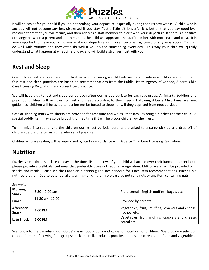

It will be easier for your child if you do not prolong your departure, especially during the first few weeks. A child who is anxious will not become any less distressed if you stay "just a little bit longer". It is better that you say good-bye, reassure them that you will return, and then address a staff member to assist with your departure. If there is a positive exchange between a parent and another adult, the child will approach the staff member with more ease and trust. It is very important to make your child aware of your departure as children become frightened of any separation. Children do well with routines and they often do well if you do the same thing every day. This way your child will quickly understand what happens at what time of day, and will build a stronger trust with you.

# **Rest and Sleep**

Comfortable rest and sleep are important factors in ensuring a child feels secure and safe in a child care environment. Our rest and sleep practices are based on recommendations from the Public Health Agency of Canada, Alberta Child Care Licensing Regulations and current best practice.

We will have a quite rest and sleep period each afternoon as appropriate for each age group. All infants, toddlers and preschool children will lie down for rest and sleep according to their needs. Following Alberta Child Care Licensing guidelines, children will be asked to rest but not be forced to sleep nor will they deprived from needed sleep.

Cots or sleeping mats with sheets are provided for rest time and we ask that families bring a blanket for their child. A special cuddly item may also be brought for nap time if it will help your child enjoy their rest.

To minimize interruptions to the children during rest periods, parents are asked to arrange pick up and drop off of children before or after nap time when at all possible.

Children who are resting will be supervised by staff in accordance with Alberta Child Care Licensing Regulations

# **Nutrition**

Puzzles serves three snacks each day at the times listed below. If your child will attend over their lunch or supper hour, please provide a well-balanced meal that preferably does not require refrigeration. Milk or water will be provided with snacks and meals. Please see the Canadian nutrition guidelines handout for lunch item recommendations. Puzzles is a nut free program Due to potential allergies in small children, so please do not send nuts or any item containing nuts.

| Example:                       |                     |                                                                  |  |
|--------------------------------|---------------------|------------------------------------------------------------------|--|
| <b>Morning</b><br><b>Snack</b> | $8:30 - 9:00$ am    | Fruit, cereal, English muffins, bagels etc.                      |  |
| Lunch                          | $11:30$ am $-12:00$ | Provided by parents                                              |  |
| Afternoon<br><b>Snack</b>      | $3:00 \text{ PM}$   | Vegetables, fruit, muffins, crackers and cheese,<br>nachos, etc. |  |
| Late Snack                     | $6:00 \text{ PM}$   | Vegetables, fruit, muffins, crackers and cheese,<br>cereal etc.  |  |

We follow to the Canadian Food Guide's basic food groups and guide for nutrition for children. We provide a selection of food from the following food groups: milk and milk products, proteins, breads and cereals, and fruits and vegetables.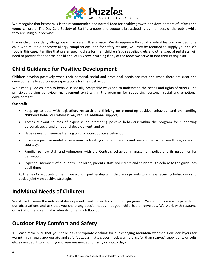

We recognize that breast milk is the recommended and normal food for healthy growth and development of infants and young children. The Day Care Society of Banff promotes and supports breastfeeding by members of the public while they are using our premises.

If your child has a dairy allergy we will serve a milk alternate. We do require a thorough medical history provided for a child with multiple or severe allergy complications, and for safety reasons, you may be required to supply your child's food in this case. Families that prefer specific diets for their children (such as celiac diets and other specialized diets) will need to provide food for their child and let us know in writing if any of the foods we serve fit into their eating plan.

### **Child Guidance for Positive Development**

Children develop positively when their personal, social and emotional needs are met and when there are clear and developmentally appropriate expectations for their behaviour.

We aim to guide children to behave in socially acceptable ways and to understand the needs and rights of others. The principles guiding behaviour management exist within the program for supporting personal, social and emotional development.

**Our staff:**

- Keep up to date with legislation, research and thinking on promoting positive behaviour and on handling children's behaviour where it may require additional support;
- Access relevant sources of expertise on promoting positive behaviour within the program for supporting personal, social and emotional development; and to
- Have relevant in-service training on promoting positive behaviour.
- Provide a positive model of behaviour by treating children, parents and one another with friendliness, care and courtesy.
- Familiarize new staff and volunteers with the Centre's behaviour management policy and its guidelines for behaviour.
- Expect all members of our Centre children, parents, staff, volunteers and students to adhere to the guidelines at all times.

At The Day Care Society of Banff, we work in partnership with children's parents to address recurring behaviours and decide jointly on positive strategies.

# **Individual Needs of Children**

We strive to serve the individual development needs of each child in our programs. We communicate with parents on our observations and ask that you share any special needs that your child has or develops. We work with resource organizations and can make referrals for family follow-up.

# **Outdoor Play Comfort and Safety**

1. Please make sure that your child has appropriate clothing for our changing mountain weather. Consider layers for warmth, rain gear, appropriate and safe footwear, hats, gloves, neck warmers, (safer than scarves) snow pants or suits etc. as needed. Extra clothing and gear are needed for rainy or snowy days.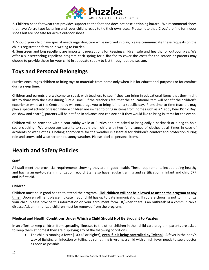

2. Children need footwear that provides support to the foot and does not pose a tripping hazard. We recommend shoes that have Velcro type fastening until your child is ready to tie their own laces. Please note that 'Crocs' are fine for indoor shoes but are not safe for active outdoor shoes.

3. Should your child have special needs regarding care while involved in play, please communicate these requests on the child's registration form or in writing to Puzzles.

4. Sunscreen and bug repellent are important precautions for keeping children safe and healthy for outdoor play. We offer a sunscreen/bug repellent program each spring for a flat fee to cover the costs for the season or parents may choose to provide these for your child in adequate supply to last throughout the season.

# **Toys and Personal Belongings**

Puzzles encourages children to bring toys or materials from home only when it is for educational purposes or for comfort during sleep time.

Children and parents are welcome to speak with teachers to see if they can bring in educational items that they might like to share with the class during 'Circle Time'. If the teacher's feel that the educational item will benefit the children's experience while at the Centre, they will encourage you to bring it in on a specific day. From time-to-time teachers may plan a special activity or lesson where children are invited to bring in items from home (such as a 'Teddy Bear Picnic Day' or 'show and share'), parents will be notified in advance and can decide if they would like to bring in items for the event.

Children will be provided with a coat cubby while at Puzzles and are asked to bring daily a backpack or a bag to hold spare clothing. We encourage parents to supply their child with two full changes of clothes at all times in case of accidents or wet clothes. Clothing appropriate for the weather is essential for children's comfort and protection during rain and snow, cold weather or hot, sunny weather. Please label all personal items.

# **Health and Safety Policies**

### **Staff**

All staff meet the provincial requirements showing they are in good health. These requirements include being healthy and having an up-to-date immunization record. Staff also have regular training and certification in infant and child CPR and in first aid.

### **Children**

Children must be in good health to attend the program. **Sick children will not be allowed to attend the program at any time.** Upon enrollment please indicate if your child has up to date immunizations. If you are choosing not to immunize your child, please provide this information on your enrollment form. If/when there is an outbreak of a communicable disease ALL unimmunized children must be removed from the program.

### **Medical and Health Conditions Under Which a Child Should Not Be Brought to Puzzles**

In an effort to keep children from spreading illnesses to the other children in their child care program, parents are asked to keep them at home if they are displaying any of the following conditions:

• The child is running a fever (100.4F or higher), **even if it is being controlled by Tylenol.** A fever is the body's way of fighting an infection or telling us something is wrong, a child with a high fever needs to see a doctor as soon as possible.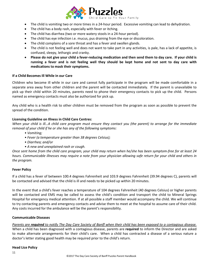

- The child is vomiting two or more times in a 24-hour period. Excessive vomiting can lead to dehydration.
- The child has a body rash, especially with fever or itching.
- The child has diarrhea (two or more watery stools in a 24-hour period).
- The child has eye infection i.e. mucus, pus draining from the eye or discoloration.
- The child complains of a sore throat and has a fever and swollen glands.
- The child is not feeling well and does not want to take part in any activities, is pale, has a lack of appetite, is confused, sleepy, lethargic and cranky.
- **Please do not give your child a fever-reducing medication and then send them to day care. If your child is running a fever and is not feeling well they should be kept home and not sent to day care with medications to mask their symptoms.**

#### **If a Child Becomes Ill While in our Care**

Children who become ill while in our care and cannot fully participate in the program will be made comfortable in a separate area away from other children and the parent will be contacted immediately. If the parent is unavailable to pick up their child within 20 minutes, parents need to phone their emergency contacts to pick up the child. Persons named as emergency contacts must also be authorized for pick up.

Any child who is a health risk to other children must be removed from the program as soon as possible to prevent the spread of the condition.

#### **Licensing Guideline on Illness in Child Care Centres:**

*When your child is ill…A child care program must ensure they contact you (the parent) to arrange for the immediate removal of your child if he or she has any of the following symptoms:*

- *Vomiting;*
- *Fever (a temperature greater than 38 degrees Celsius);*
- *Diarrhea; and/or*
- *A new and unexplained rash or cough.*

*Once sent home from the child care program, your child may return when he/she has been symptom-free for at least 24 hours. Communicable illnesses may require a note from your physician allowing safe return for your child and others in the program.*

#### **Fever Policy**

If a child has a fever of between 100.4 degrees Fahrenheit and 103.9 degrees Fahrenheit (39.94 degrees C), parents will be contacted and advised that the child is ill and needs to be picked up within 20 minutes.

In the event that a child's fever reaches a temperature of 104 degrees Fahrenheit (40 degrees Celsius) or higher parents will be contacted and EMS may be called to assess the child's condition and transport the child to Mineral Springs Hospital for emergency medical attention. If at all possible a staff member would accompany the child. We will continue to try contacting parents and emergency contacts and advise them to meet at the hospital to assume care of their child. Any costs incurred for the ambulance will be the parent's responsibility.

#### **Communicable Diseases**

*Parents are required to notify The Day Care Society of Banff when their child has been exposed to a contagious disease.* When a child has been diagnosed with a contagious disease, parents are **required** to inform the Director and are asked to make alternate arrangements for their child's care. When a child has contracted a disease of a serious nature a doctor's letter stating good health may be required prior to the child's return.

#### **Head Lice Policy**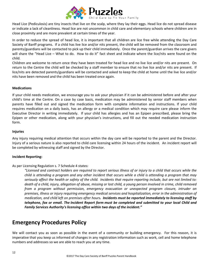

Head Lice (Pediculosis) are tiny insects that live on the scalp, where they lay their eggs. Head lice do not spread disease or indicate a lack of cleanliness. Head lice are not uncommon in child care and elementary schools where children are in close proximity and are more prevalent at certain times of the year.

In order to reduce the spread of head lice, it is important that all children are lice free while attending the Day Care Society of Banff programs. If a child has live lice and/or nits present, the child will be removed from the classroom and parents/guardians will be contacted to pick up their child immediately. Once the parent/guardian arrives the care givers will share the "Head Lice – What to do. How to do it" fact sheet and indicate where the lice/nits were found on the child.

Children are welcome to return once they have been treated for head lice and no live lice and/or nits are present. On return to the Centre the child will be checked by a staff member to ensure that no live lice and/or nits are present. If lice/nits are detected parents/guardians will be contacted and asked to keep the child at home until the live lice and/or nits have been removed and the child has been treated once again.

#### **Medications**

If your child needs medication, we encourage you to ask your physician if it can be administered before and after your child's time at the Centre. On a case by case basis, medication may be administered by senior staff members when parents have filled out and signed the medication form with complete information and instructions. If your child requires medication on a daily basis, has an allergy or a medical condition which may require care please inform the Executive Director in writing immediately. If your child has allergies and has an Epipen prescribed, please bring the Epipen or other medication, along with your physician's instructions, and fill out the needed medication instruction form.

#### **Injuries**

Any injury requiring medical attention that occurs within the day care will be reported to the parent and the Director. Injury of a serious nature is also reported to child care licensing within 24 hours of the incident. An incident report will be completed by witnessing staff and signed by the Director.

#### **Incident Reporting:**

As per Licensing Regulation s. 7 Schedule 4 states:

*"Licensed and contract holders are required to report serious illness of or injury to a child that occurs while the child is attending a program and any other incident that occurs while a child is attending a program that may seriously affect the health or safety of the child. Incidents that require reporting include, but are not limited to: death of a child, injury, allegation of abuse, missing or lost child, a young person involved in crime, child removed from a program without permission, emergency evacuation or unexpected program closure, intruder on premises, illness or injury requiring emergency medical services and hospitalization, error in the administration of medication, and child left on premises after hours. Incidents must be reported immediately to licensing staff by telephone, fax or email. The [Incident Report form](http://www.child.alberta.ca/home/documents/childcare/IncidentReportLicensingCDEV4029.pdf) must be completed and submitted to your local Child and Family Services Authority's licensing office within two days of the incident."*

### **Emergency Procedures Policy**

We will contact you as soon as possible in the event of a community or building emergency. For this reason, it is imperative that you keep us informed of changes in any registration information such as work, cell and home telephone numbers and addresses so we are able to reach you at any time.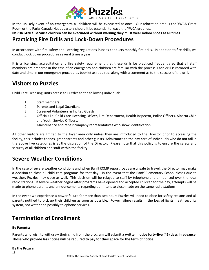

In the unlikely event of an emergency, all children will be evacuated at once. Our relocation area is the YWCA Great Room or the Parks Canada Headquarters should it be essential to leave the YWCA grounds.

**IMPORTANT! Because children can be evacuated without warning they must wear indoor shoes at all times.**

### **Practicing Fire Drills and Lock-Down Procedures**

In accordance with fire safety and licensing regulations Puzzles conducts monthly fire drills. In addition to fire drills, we conduct lock down procedures several times a year.

It is a licensing, accreditation and fire safety requirement that these drills be practiced frequently so that all staff members are prepared in the case of an emergency and children are familiar with the process. Each drill is recorded with date and time in our emergency procedures booklet as required, along with a comment as to the success of the drill.

# **Visitors to Puzzles**

Child Care Licensing limits access to Puzzles to the following individuals:

- 1) Staff members
- 2) Parents and Legal Guardians
- 3) Screened Volunteers & Invited Guests
- 4) Officials i.e. Child Care Licensing Officer, Fire Department, Health Inspector, Police Officers, Alberta Child and Youth Service Officers.
- 5) Maintenance and repair company representatives who show identification

All other visitors are limited to the foyer area only unless they are introduced to the Director prior to accessing the facility, this includes friends, grandparents and other guests. Admittance to the day care of individuals who do not fall in the above five categories is at the discretion of the Director. Please note that this policy is to ensure the safety and security of all children and staff within the facility.

# **Severe Weather Conditions**

In the case of severe weather conditions and when Banff RCMP report roads are unsafe to travel, the Director may make a decision to close all child care programs for that day. In the event that the Banff Elementary School closes due to weather, Puzzles may close as well. This decision will be relayed to staff by telephone and announced over the local radio stations. If severe weather begins after programs have opened and accepted children for the day, attempts will be made to phone parents and announcements regarding our intent to close made on the same radio stations.

In the event we experience a power failure for more than two hours Puzzles will need to close for safety reasons and all parents notified to pick up their children as soon as possible. Power failure results in the loss of lights, heat, security system, hot water and possibly telephone services.

# **Termination of Enrollment**

#### **By Parents:**

Parents who wish to withdraw their child from the program will submit **a written notice forty-five (45) days in advance. Those who provide less notice will be required to pay for their space for the term of notice.**

#### **By the Program:**